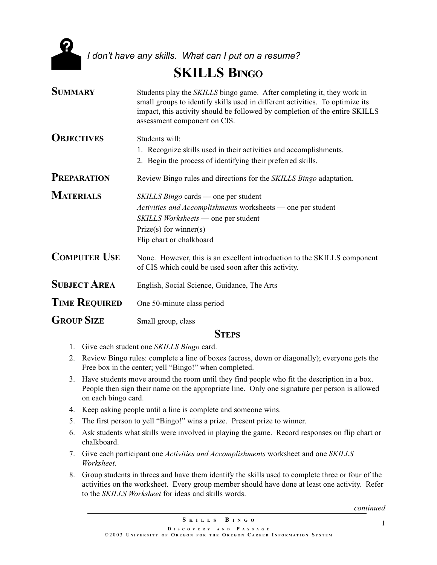

*I don't have any skills. What can I put on a resume?*

**SKILLS BINGO**

| <b>SUMMARY</b>       | Students play the SKILLS bingo game. After completing it, they work in<br>small groups to identify skills used in different activities. To optimize its<br>impact, this activity should be followed by completion of the entire SKILLS<br>assessment component on CIS. |  |  |  |
|----------------------|------------------------------------------------------------------------------------------------------------------------------------------------------------------------------------------------------------------------------------------------------------------------|--|--|--|
| <b>OBJECTIVES</b>    | Students will:<br>1. Recognize skills used in their activities and accomplishments.<br>2. Begin the process of identifying their preferred skills.                                                                                                                     |  |  |  |
| <b>PREPARATION</b>   | Review Bingo rules and directions for the SKILLS Bingo adaptation.                                                                                                                                                                                                     |  |  |  |
| <b>MATERIALS</b>     | SKILLS Bingo cards — one per student<br>Activities and Accomplishments worksheets — one per student<br>SKILLS Worksheets — one per student<br>$Prize(s)$ for winner(s)<br>Flip chart or chalkboard                                                                     |  |  |  |
| <b>COMPUTER USE</b>  | None. However, this is an excellent introduction to the SKILLS component<br>of CIS which could be used soon after this activity.                                                                                                                                       |  |  |  |
| <b>SUBJECT AREA</b>  | English, Social Science, Guidance, The Arts                                                                                                                                                                                                                            |  |  |  |
| <b>TIME REQUIRED</b> | One 50-minute class period                                                                                                                                                                                                                                             |  |  |  |
| <b>GROUP SIZE</b>    | Small group, class                                                                                                                                                                                                                                                     |  |  |  |

#### **STEPS**

- 1. Give each student one *SKILLS Bingo* card.
- 2. Review Bingo rules: complete a line of boxes (across, down or diagonally); everyone gets the Free box in the center; yell "Bingo!" when completed.
- 3. Have students move around the room until they find people who fit the description in a box. People then sign their name on the appropriate line. Only one signature per person is allowed on each bingo card.
- 4. Keep asking people until a line is complete and someone wins.
- 5. The first person to yell "Bingo!" wins a prize. Present prize to winner.
- 6. Ask students what skills were involved in playing the game. Record responses on flip chart or chalkboard.
- 7. Give each participant one *Activities and Accomplishments* worksheet and one *SKILLS Worksheet*.
- 8. Group students in threes and have them identify the skills used to complete three or four of the activities on the worksheet. Every group member should have done at least one activity. Refer to the *SKILLS Worksheet* for ideas and skills words.

*continued*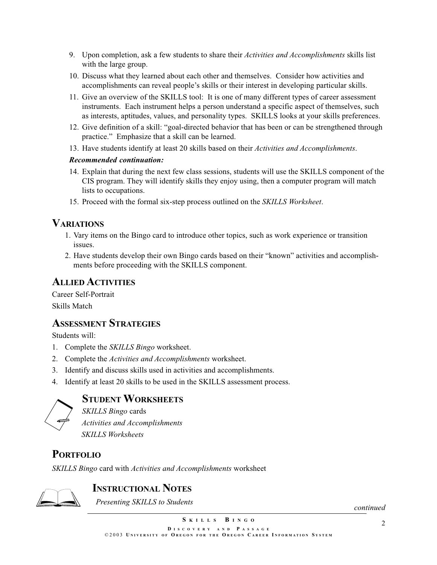- 9. Upon completion, ask a few students to share their *Activities and Accomplishments* skills list with the large group.
- 10. Discuss what they learned about each other and themselves. Consider how activities and accomplishments can reveal people's skills or their interest in developing particular skills.
- 11. Give an overview of the SKILLS tool: It is one of many different types of career assessment instruments. Each instrument helps a person understand a specific aspect of themselves, such as interests, aptitudes, values, and personality types. SKILLS looks at your skills preferences.
- 12. Give definition of a skill: "goal-directed behavior that has been or can be strengthened through practice." Emphasize that a skill can be learned.
- 13. Have students identify at least 20 skills based on their *Activities and Accomplishments*.

#### *Recommended continuation:*

- 14. Explain that during the next few class sessions, students will use the SKILLS component of the CIS program. They will identify skills they enjoy using, then a computer program will match lists to occupations.
- 15. Proceed with the formal six-step process outlined on the *SKILLS Worksheet*.

### **VARIATIONS**

- 1. Vary items on the Bingo card to introduce other topics, such as work experience or transition issues.
- 2. Have students develop their own Bingo cards based on their "known" activities and accomplishments before proceeding with the SKILLS component.

### **ALLIED ACTIVITIES**

Career Self-Portrait Skills Match

### **ASSESSMENT STRATEGIES**

Students will:

- 1. Complete the *SKILLS Bingo* worksheet.
- 2. Complete the *Activities and Accomplishments* worksheet.
- 3. Identify and discuss skills used in activities and accomplishments.
- 4. Identify at least 20 skills to be used in the SKILLS assessment process.



#### **STUDENT WORKSHEETS**

*SKILLS Bingo* cards *Activities and Accomplishments SKILLS Worksheets*

## **PORTFOLIO**

*SKILLS Bingo* card with *Activities and Accomplishments* worksheet



 **INSTRUCTIONAL NOTES**

 *Presenting SKILLS to Students continued*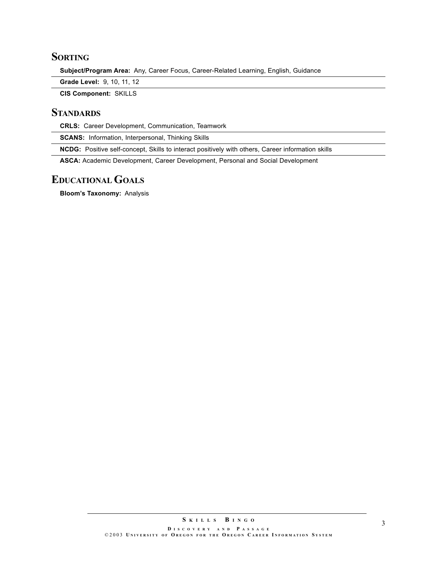### **SORTING**

**Subject/Program Area:** Any, Career Focus, Career-Related Learning, English, Guidance

**Grade Level:** 9, 10, 11, 12

**CIS Component:** SKILLS

#### **STANDARDS**

**CRLS:** Career Development, Communication, Teamwork

**SCANS:** Information, Interpersonal, Thinking Skills

**NCDG:** Positive self-concept, Skills to interact positively with others, Career information skills

**ASCA:** Academic Development, Career Development, Personal and Social Development

#### **EDUCATIONAL GOALS**

**Bloom's Taxonomy:** Analysis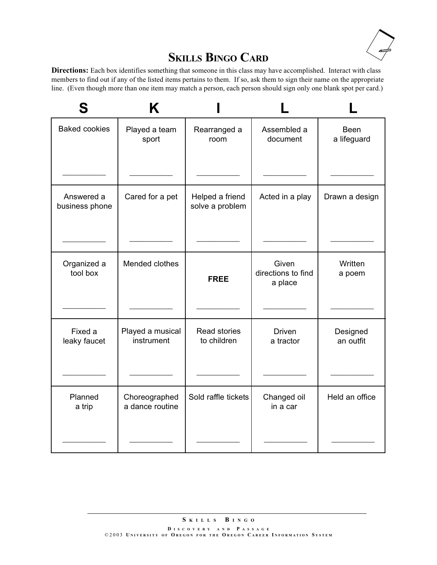

# **SKILLS BINGO CARD**

**Directions:** Each box identifies something that someone in this class may have accomplished. Interact with class members to find out if any of the listed items pertains to them. If so, ask them to sign their name on the appropriate line. (Even though more than one item may match a person, each person should sign only one blank spot per card.)

|                              | K                                |                                    |                                        |                       |
|------------------------------|----------------------------------|------------------------------------|----------------------------------------|-----------------------|
| <b>Baked cookies</b>         | Played a team<br>sport           | Rearranged a<br>room               | Assembled a<br>document                | Been<br>a lifeguard   |
| Answered a<br>business phone | Cared for a pet                  | Helped a friend<br>solve a problem | Acted in a play                        | Drawn a design        |
| Organized a<br>tool box      | Mended clothes                   | <b>FREE</b>                        | Given<br>directions to find<br>a place | Written<br>a poem     |
| Fixed a<br>leaky faucet      | Played a musical<br>instrument   | <b>Read stories</b><br>to children | <b>Driven</b><br>a tractor             | Designed<br>an outfit |
| Planned<br>a trip            | Choreographed<br>a dance routine | Sold raffle tickets                | Changed oil<br>in a car                | Held an office        |